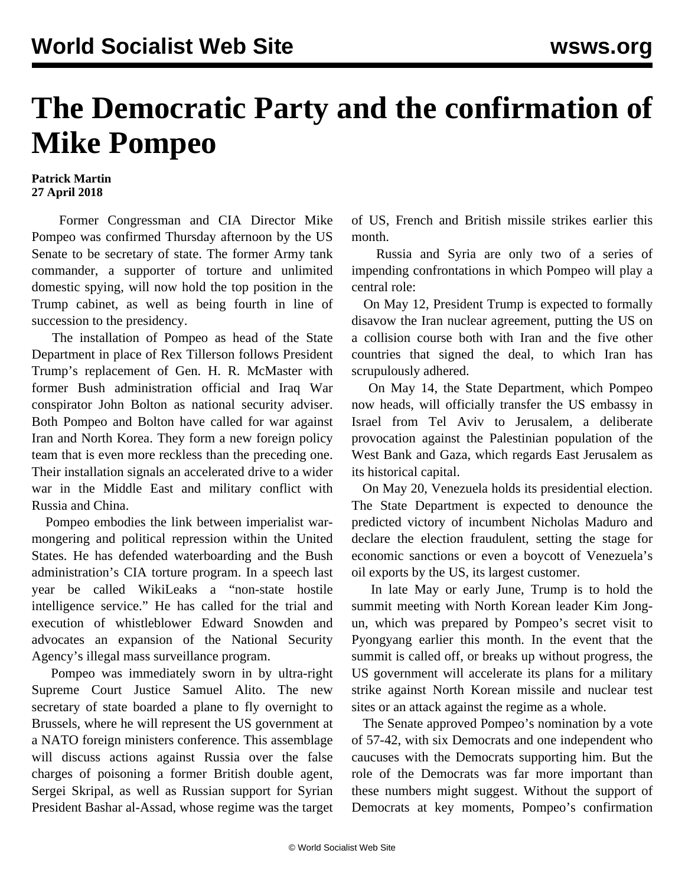## **The Democratic Party and the confirmation of Mike Pompeo**

## **Patrick Martin 27 April 2018**

 Former Congressman and CIA Director Mike Pompeo was confirmed Thursday afternoon by the US Senate to be secretary of state. The former Army tank commander, a supporter of torture and unlimited domestic spying, will now hold the top position in the Trump cabinet, as well as being fourth in line of succession to the presidency.

 The installation of Pompeo as head of the State Department in place of Rex Tillerson follows President Trump's replacement of Gen. H. R. McMaster with former Bush administration official and Iraq War conspirator John Bolton as national security adviser. Both Pompeo and Bolton have called for war against Iran and North Korea. They form a new foreign policy team that is even more reckless than the preceding one. Their installation signals an accelerated drive to a wider war in the Middle East and military conflict with Russia and China.

 Pompeo embodies the link between imperialist warmongering and political repression within the United States. He has defended waterboarding and the Bush administration's CIA torture program. In a speech last year be called WikiLeaks a "non-state hostile intelligence service." He has called for the trial and execution of whistleblower Edward Snowden and advocates an expansion of the National Security Agency's illegal mass surveillance program.

 Pompeo was immediately sworn in by ultra-right Supreme Court Justice Samuel Alito. The new secretary of state boarded a plane to fly overnight to Brussels, where he will represent the US government at a NATO foreign ministers conference. This assemblage will discuss actions against Russia over the false charges of poisoning a former British double agent, Sergei Skripal, as well as Russian support for Syrian President Bashar al-Assad, whose regime was the target of US, French and British missile strikes earlier this month.

 Russia and Syria are only two of a series of impending confrontations in which Pompeo will play a central role:

 On May 12, President Trump is expected to formally disavow the Iran nuclear agreement, putting the US on a collision course both with Iran and the five other countries that signed the deal, to which Iran has scrupulously adhered.

 On May 14, the State Department, which Pompeo now heads, will officially transfer the US embassy in Israel from Tel Aviv to Jerusalem, a deliberate provocation against the Palestinian population of the West Bank and Gaza, which regards East Jerusalem as its historical capital.

 On May 20, Venezuela holds its presidential election. The State Department is expected to denounce the predicted victory of incumbent Nicholas Maduro and declare the election fraudulent, setting the stage for economic sanctions or even a boycott of Venezuela's oil exports by the US, its largest customer.

 In late May or early June, Trump is to hold the summit meeting with North Korean leader Kim Jongun, which was prepared by Pompeo's secret visit to Pyongyang earlier this month. In the event that the summit is called off, or breaks up without progress, the US government will accelerate its plans for a military strike against North Korean missile and nuclear test sites or an attack against the regime as a whole.

 The Senate approved Pompeo's nomination by a vote of 57-42, with six Democrats and one independent who caucuses with the Democrats supporting him. But the role of the Democrats was far more important than these numbers might suggest. Without the support of Democrats at key moments, Pompeo's confirmation